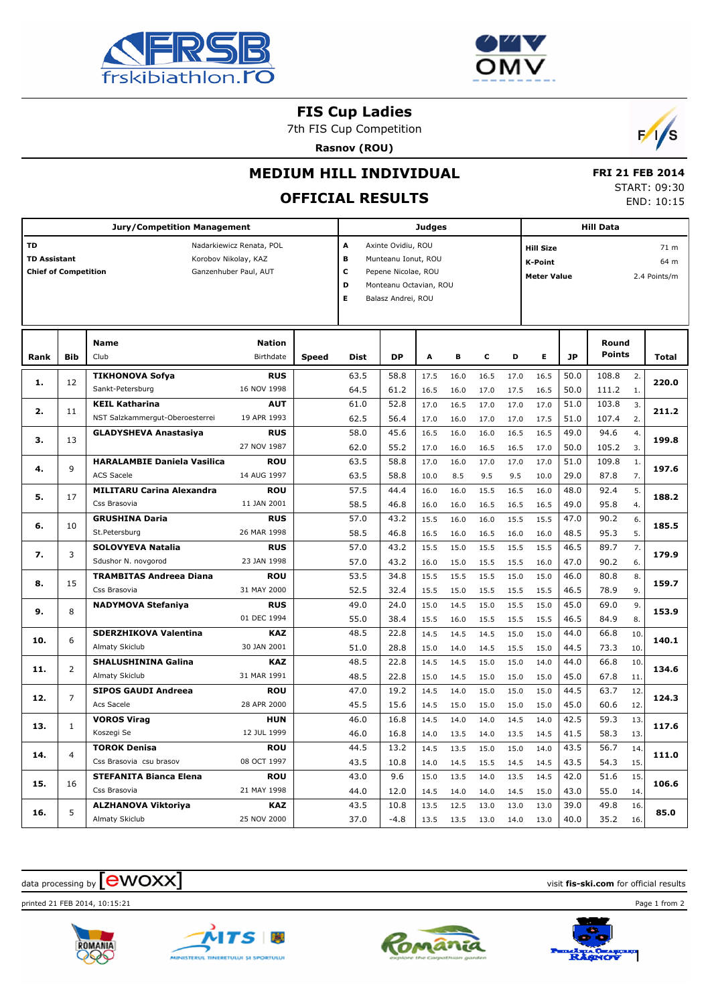



### **FIS Cup Ladies**

7th FIS Cup Competition

**Rasnov (ROU)**



## **MEDIUM HILL INDIVIDUAL**

# **OFFICIAL RESULTS**

 **FRI 21 FEB 2014** START: 09:30 END: 10:15

|      | <b>Jury/Competition Management</b>                                                                                              |                                                          |                            |              |              | <b>Hill Data</b><br><b>Judges</b>                                                                                                                                                                      |              |              |              |              |              |              |                        |            |                              |
|------|---------------------------------------------------------------------------------------------------------------------------------|----------------------------------------------------------|----------------------------|--------------|--------------|--------------------------------------------------------------------------------------------------------------------------------------------------------------------------------------------------------|--------------|--------------|--------------|--------------|--------------|--------------|------------------------|------------|------------------------------|
| TD   | Nadarkiewicz Renata, POL<br><b>TD Assistant</b><br>Korobov Nikolay, KAZ<br><b>Chief of Competition</b><br>Ganzenhuber Paul, AUT |                                                          |                            |              |              | A<br>Axinte Ovidiu, ROU<br><b>Hill Size</b><br>B<br>Munteanu Ionut, ROU<br><b>K-Point</b><br>c<br>Pepene Nicolae, ROU<br><b>Meter Value</b><br>D<br>Monteanu Octavian, ROU<br>E.<br>Balasz Andrei, ROU |              |              |              |              |              |              |                        |            | 71 m<br>64 m<br>2.4 Points/m |
| Rank | <b>Bib</b>                                                                                                                      | <b>Name</b><br>Club                                      | <b>Nation</b><br>Birthdate | <b>Speed</b> | <b>Dist</b>  | <b>DP</b>                                                                                                                                                                                              | A            | в            | c            | D            | E            | <b>JP</b>    | Round<br><b>Points</b> |            | <b>Total</b>                 |
| 1.   | 12                                                                                                                              | <b>TIKHONOVA Sofya</b><br>Sankt-Petersburg               | <b>RUS</b><br>16 NOV 1998  |              | 63.5<br>64.5 | 58.8<br>61.2                                                                                                                                                                                           | 17.5<br>16.5 | 16.0<br>16.0 | 16.5<br>17.0 | 17.0<br>17.5 | 16.5<br>16.5 | 50.0<br>50.0 | 108.8<br>111.2         | 2.<br>1.   | 220.0                        |
| 2.   | 11                                                                                                                              | <b>KEIL Katharina</b><br>NST Salzkammergut-Oberoesterrei | <b>AUT</b><br>19 APR 1993  |              | 61.0<br>62.5 | 52.8<br>56.4                                                                                                                                                                                           | 17.0<br>17.0 | 16.5<br>16.0 | 17.0<br>17.0 | 17.0<br>17.0 | 17.0<br>17.5 | 51.0<br>51.0 | 103.8<br>107.4         | 3.<br>2.   | 211.2                        |
| з.   | 13                                                                                                                              | <b>GLADYSHEVA Anastasiya</b>                             | <b>RUS</b><br>27 NOV 1987  |              | 58.0<br>62.0 | 45.6<br>55.2                                                                                                                                                                                           | 16.5<br>17.0 | 16.0<br>16.0 | 16.0<br>16.5 | 16.5<br>16.5 | 16.5<br>17.0 | 49.0<br>50.0 | 94.6<br>105.2          | 4.<br>3.   | 199.8                        |
| 4.   | 9                                                                                                                               | <b>HARALAMBIE Daniela Vasilica</b><br><b>ACS Sacele</b>  | <b>ROU</b><br>14 AUG 1997  |              | 63.5<br>63.5 | 58.8<br>58.8                                                                                                                                                                                           | 17.0<br>10.0 | 16.0<br>8.5  | 17.0<br>9.5  | 17.0<br>9.5  | 17.0<br>10.0 | 51.0<br>29.0 | 109.8<br>87.8          | 1.<br>7.   | 197.6                        |
| 5.   | 17                                                                                                                              | <b>MILITARU Carina Alexandra</b><br>Css Brasovia         | <b>ROU</b><br>11 JAN 2001  |              | 57.5<br>58.5 | 44.4<br>46.8                                                                                                                                                                                           | 16.0<br>16.0 | 16.0<br>16.0 | 15.5<br>16.5 | 16.5<br>16.5 | 16.0<br>16.5 | 48.0<br>49.0 | 92.4<br>95.8           | 5.<br>4.   | 188.2                        |
| 6.   | 10                                                                                                                              | <b>GRUSHINA Daria</b><br>St.Petersburg                   | <b>RUS</b><br>26 MAR 1998  |              | 57.0<br>58.5 | 43.2<br>46.8                                                                                                                                                                                           | 15.5<br>16.5 | 16.0<br>16.0 | 16.0<br>16.5 | 15.5<br>16.0 | 15.5<br>16.0 | 47.0<br>48.5 | 90.2<br>95.3           | 6.<br>5.   | 185.5                        |
| 7.   | 3                                                                                                                               | <b>SOLOVYEVA Natalia</b><br>Sdushor N. novgorod          | <b>RUS</b><br>23 JAN 1998  |              | 57.0<br>57.0 | 43.2<br>43.2                                                                                                                                                                                           | 15.5<br>16.0 | 15.0<br>15.0 | 15.5<br>15.5 | 15.5<br>15.5 | 15.5<br>16.0 | 46.5<br>47.0 | 89.7<br>90.2           | 7.<br>6.   | 179.9                        |
| 8.   | 15                                                                                                                              | <b>TRAMBITAS Andreea Diana</b><br>Css Brasovia           | <b>ROU</b><br>31 MAY 2000  |              | 53.5<br>52.5 | 34.8<br>32.4                                                                                                                                                                                           | 15.5<br>15.5 | 15.5<br>15.0 | 15.5<br>15.5 | 15.0<br>15.5 | 15.0<br>15.5 | 46.0<br>46.5 | 80.8<br>78.9           | 8.<br>9.   | 159.7                        |
| 9.   | 8                                                                                                                               | <b>NADYMOVA Stefaniya</b>                                | <b>RUS</b><br>01 DEC 1994  |              | 49.0<br>55.0 | 24.0<br>38.4                                                                                                                                                                                           | 15.0<br>15.5 | 14.5<br>16.0 | 15.0<br>15.5 | 15.5<br>15.5 | 15.0<br>15.5 | 45.0<br>46.5 | 69.0<br>84.9           | 9.<br>8.   | 153.9                        |
| 10.  | 6                                                                                                                               | <b>SDERZHIKOVA Valentina</b><br>Almaty Skiclub           | <b>KAZ</b><br>30 JAN 2001  |              | 48.5<br>51.0 | 22.8<br>28.8                                                                                                                                                                                           | 14.5<br>15.0 | 14.5<br>14.0 | 14.5<br>14.5 | 15.0<br>15.5 | 15.0<br>15.0 | 44.0<br>44.5 | 66.8<br>73.3           | 10.<br>10. | 140.1                        |
| 11.  | $\overline{2}$                                                                                                                  | <b>SHALUSHININA Galina</b><br><b>Almaty Skiclub</b>      | <b>KAZ</b><br>31 MAR 1991  |              | 48.5<br>48.5 | 22.8<br>22.8                                                                                                                                                                                           | 14.5<br>15.0 | 14.5<br>14.5 | 15.0<br>15.0 | 15.0<br>15.0 | 14.0<br>15.0 | 44.0<br>45.0 | 66.8<br>67.8           | 10.<br>11. | 134.6                        |
| 12.  | $\overline{7}$                                                                                                                  | <b>SIPOS GAUDI Andreea</b><br>Acs Sacele                 | <b>ROU</b><br>28 APR 2000  |              | 47.0<br>45.5 | 19.2<br>15.6                                                                                                                                                                                           | 14.5<br>14.5 | 14.0<br>15.0 | 15.0<br>15.0 | 15.0<br>15.0 | 15.0<br>15.0 | 44.5<br>45.0 | 63.7<br>60.6           | 12.<br>12. | 124.3                        |
| 13.  | 1                                                                                                                               | <b>VOROS Virag</b><br>Koszegi Se                         | <b>HUN</b><br>12 JUL 1999  |              | 46.0<br>46.0 | 16.8<br>16.8                                                                                                                                                                                           | 14.5<br>14.0 | 14.0<br>13.5 | 14.0<br>14.0 | 14.5<br>13.5 | 14.0<br>14.5 | 42.5<br>41.5 | 59.3<br>58.3           | 13.<br>13. | 117.6                        |
| 14.  | 4                                                                                                                               | <b>TOROK Denisa</b><br>Css Brasovia csu brasov           | <b>ROU</b><br>08 OCT 1997  |              | 44.5<br>43.5 | 13.2<br>10.8                                                                                                                                                                                           | 14.5<br>14.0 | 13.5<br>14.5 | 15.0<br>15.5 | 15.0<br>14.5 | 14.0<br>14.5 | 43.5<br>43.5 | 56.7<br>54.3           | 14.<br>15. | 111.0                        |
| 15.  | 16                                                                                                                              | <b>STEFANITA Bianca Elena</b><br>Css Brasovia            | <b>ROU</b><br>21 MAY 1998  |              | 43.0<br>44.0 | 9.6<br>12.0                                                                                                                                                                                            | 15.0<br>14.5 | 13.5<br>14.0 | 14.0<br>14.0 | 13.5<br>14.5 | 14.5<br>15.0 | 42.0<br>43.0 | 51.6<br>55.0           | 15.<br>14. | 106.6                        |
| 16.  | 5                                                                                                                               | ALZHANOVA Viktoriya<br>Almaty Skiclub                    | KAZ<br>25 NOV 2000         |              | 43.5<br>37.0 | 10.8<br>$-4.8$                                                                                                                                                                                         | 13.5<br>13.5 | 12.5<br>13.5 | 13.0<br>13.0 | 13.0<br>14.0 | 13.0<br>13.0 | 39.0<br>40.0 | 49.8<br>35.2           | 16.<br>16. | 85.0                         |

 $\alpha$  data processing by  $\boxed{\text{ewOX}}$ 

printed 21 FEB 2014, 10:15:21 Page 1 from 2